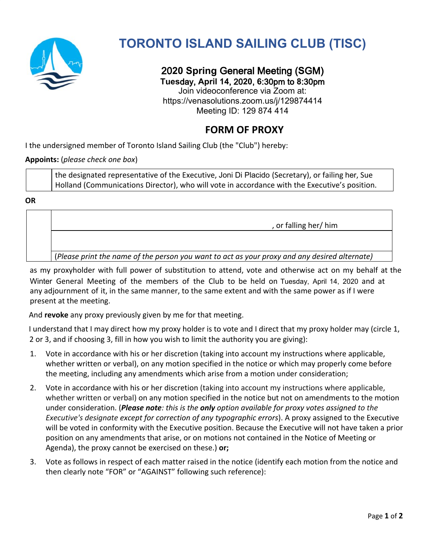

## **TORONTO ISLAND SAILING CLUB (TISC)**

20**20 Spring** General Meeting (**S**GM) **Tues**day, **April 14**, 20**20**, **6**:30pm to **8**:30pm Join videoconference via Zoom at: https://venasolutions.zoom.us/j/129874414 Meeting ID: 129 874 414

## **FORM OF PROXY**

I the undersigned member of Toronto Island Sailing Club (the "Club") hereby:

## **Appoints:** (*please check one box*)

the designated representative of the Executive, Joni Di Placido (Secretary), or failing her, Sue Holland (Communications Director), who will vote in accordance with the Executive's position.

**OR**

as my proxyholder with full power of substitution to attend, vote and otherwise act on my behalf at the Winter General Meeting of the members of the Club to be held on Tuesday, April 14, 2020 and at any adjournment of it, in the same manner, to the same extent and with the same power as if I were present at the meeting.

And **revoke** any proxy previously given by me for that meeting.

I understand that I may direct how my proxy holder is to vote and I direct that my proxy holder may (circle 1, 2 or 3, and if choosing 3, fill in how you wish to limit the authority you are giving):

- 1. Vote in accordance with his or her discretion (taking into account my instructions where applicable, whether written or verbal), on any motion specified in the notice or which may properly come before the meeting, including any amendments which arise from a motion under consideration;
- 2. Vote in accordance with his or her discretion (taking into account my instructions where applicable, whether written or verbal) on any motion specified in the notice but not on amendments to the motion under consideration. (*Please note: this is the only option available for proxy votes assigned to the Executive's designate except for correction of any typographic errors*). A proxy assigned to the Executive will be voted in conformity with the Executive position. Because the Executive will not have taken a prior position on any amendments that arise, or on motions not contained in the Notice of Meeting or Agenda), the proxy cannot be exercised on these.) **or;**
- 3. Vote as follows in respect of each matter raised in the notice (identify each motion from the notice and then clearly note "FOR" or "AGAINST" following such reference):